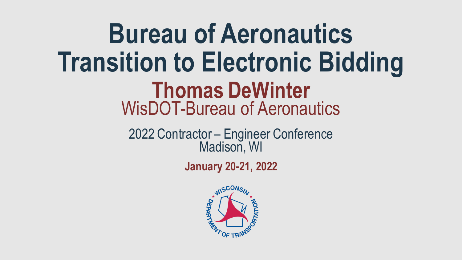**Bureau of Aeronautics Transition to Electronic Bidding** WisDOT-Bureau of Aeronautics **Thomas DeWinter**

> 2022 Contractor – Engineer Conference Madison, WI

> > **January 20-21, 2022**

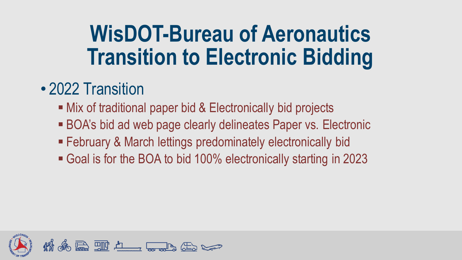#### • 2022 Transition

- Mix of traditional paper bid & Electronically bid projects
- **BOA's bid ad web page clearly delineates Paper vs. Electronic**
- **E** February & March lettings predominately electronically bid
- Goal is for the BOA to bid 100% electronically starting in 2023

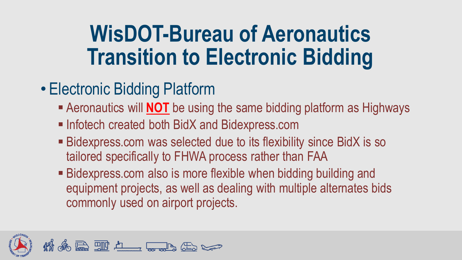- Electronic Bidding Platform
	- Aeronautics will **NOT** be using the same bidding platform as Highways
	- Infotech created both BidX and Bidexpress.com
	- Bidexpress.com was selected due to its flexibility since BidX is so tailored specifically to FHWA process rather than FAA
	- Bidexpress.com also is more flexible when bidding building and equipment projects, as well as dealing with multiple alternates bids commonly used on airport projects.

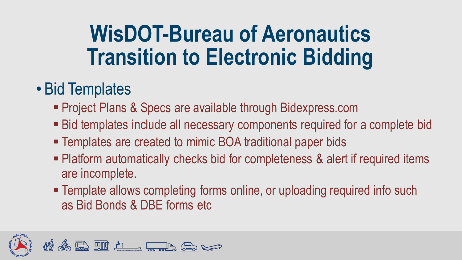#### • Bid Templates

- **Project Plans & Specs are available through Bidexpress.com**
- Bid templates include all necessary components required for a complete bid
- Templates are created to mimic BOA traditional paper bids
- **Platform automatically checks bid for completeness & alert if required items** are incomplete.
- **Template allows completing forms online, or uploading required info such** as Bid Bonds & DBE forms etc

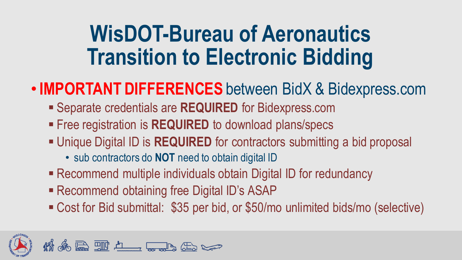#### •**IMPORTANT DIFFERENCES** between BidX & Bidexpress.com

- **EXEQUIRED** for Bidexpress.com
- Free registration is REQUIRED to download plans/specs
- **Unique Digital ID is REQUIRED** for contractors submitting a bid proposal
	- sub contractors do **NOT** need to obtain digital ID
- Recommend multiple individuals obtain Digital ID for redundancy
- Recommend obtaining free Digital ID's ASAP
- Cost for Bid submittal: \$35 per bid, or \$50/mo unlimited bids/mo (selective)

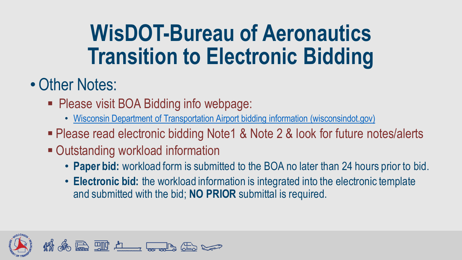### • Other Notes:

- Please visit BOA Bidding info webpage:
	- [Wisconsin Department of Transportation Airport bidding information \(wisconsindot.gov\)](https://wisconsindot.gov/Pages/doing-bus/aeronautics/airports/arpt-bidinfo.aspx)
- Please read electronic bidding Note1 & Note 2 & look for future notes/alerts
- Outstanding workload information
	- **Paper bid:** workload form is submitted to the BOA no later than 24 hours prior to bid.
	- **Electronic bid:** the workload information is integrated into the electronic template and submitted with the bid; **NO PRIOR** submittal is required.